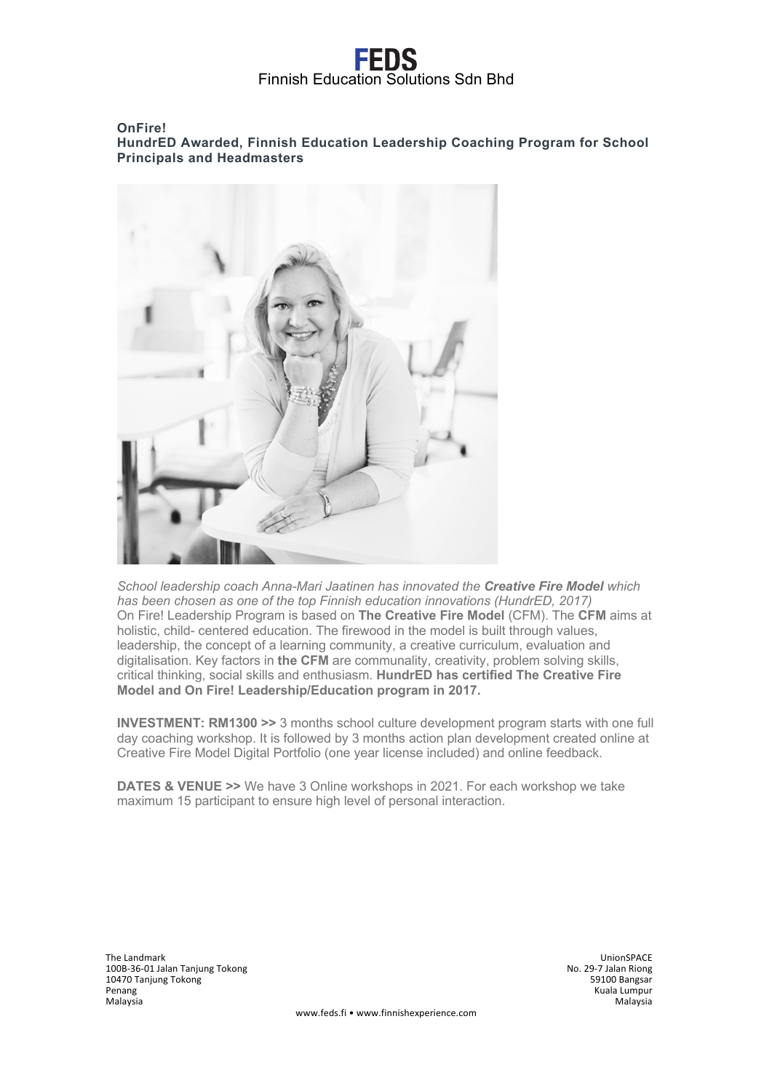# EENS Finnish Education Solutions Sdn Bhd

### **OnFire! HundrED Awarded, Finnish Education Leadership Coaching Program for School Principals and Headmasters**



*School leadership coach Anna-Mari Jaatinen has innovated the Creative Fire Model which has been chosen as one of the top Finnish education innovations (HundrED, 2017)* On Fire! Leadership Program is based on **The Creative Fire Model** (CFM). The **CFM** aims at holistic, child- centered education. The firewood in the model is built through values, leadership, the concept of a learning community, a creative curriculum, evaluation and digitalisation. Key factors in **the CFM** are communality, creativity, problem solving skills, critical thinking, social skills and enthusiasm. **HundrED has certified The Creative Fire Model and On Fire! Leadership/Education program in 2017.**

**INVESTMENT: RM1300 >>** 3 months school culture development program starts with one full day coaching workshop. It is followed by 3 months action plan development created online at Creative Fire Model Digital Portfolio (one year license included) and online feedback.

**DATES & VENUE >>** We have 3 Online workshops in 2021. For each workshop we take maximum 15 participant to ensure high level of personal interaction.

The Landmark UnionSPACE n - Chronic Controller and the United States of the United States of the United States of the United States of<br>100B-36-01 Jalan Tanjung Tokong No. 29-7 Jalan Riong S9100 Bangsar<br>10470 Tanjung Tokong S9100 Bangsar 10470 Tanjung Tokong<br>Penang n and the margins of the margins of the margins of the margins of the margins of the margins of the margins of<br>Malaysia Malaysia Malaysia Malaysia Malaysia Malaysia Malaysia Malaysia Malaysia Malaysia Malaysia Malaysia Ma Malaysia Malaysia

www.feds.fi • www.finnishexperience.com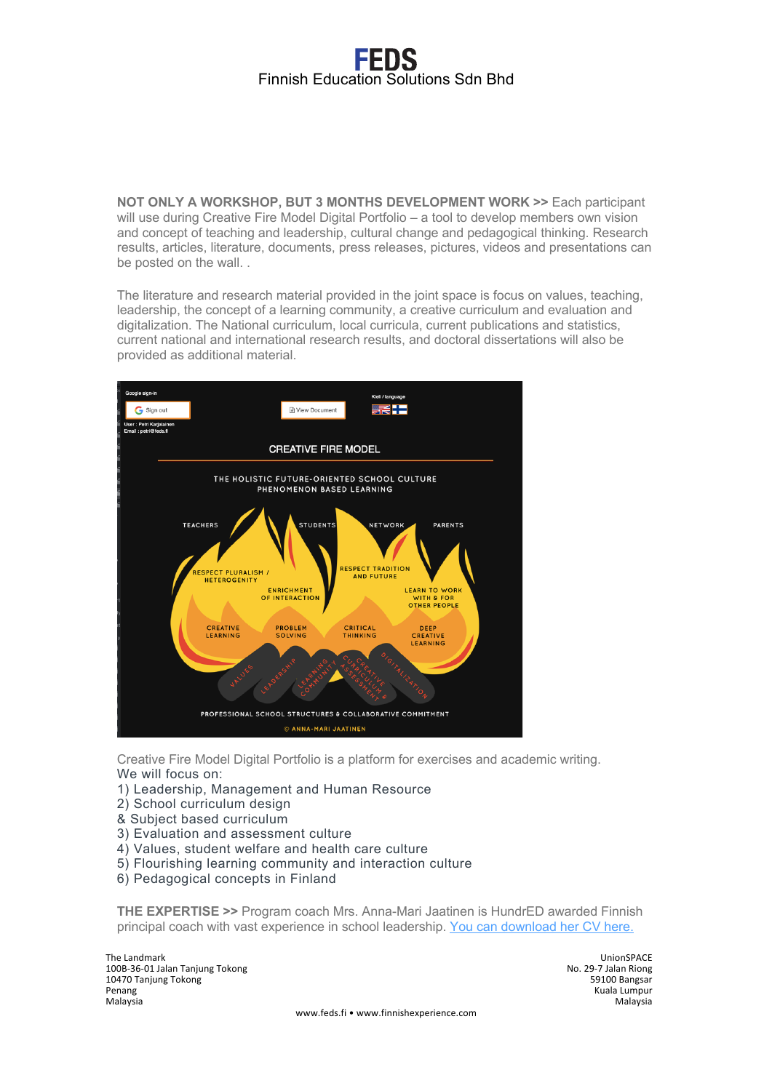# Finnish Education Solutions Sdn Bhd

**NOT ONLY A WORKSHOP, BUT 3 MONTHS DEVELOPMENT WORK >>** Each participant will use during Creative Fire Model Digital Portfolio – a tool to develop members own vision and concept of teaching and leadership, cultural change and pedagogical thinking. Research results, articles, literature, documents, press releases, pictures, videos and presentations can be posted on the wall. .

The literature and research material provided in the joint space is focus on values, teaching, leadership, the concept of a learning community, a creative curriculum and evaluation and digitalization. The National curriculum, local curricula, current publications and statistics, current national and international research results, and doctoral dissertations will also be provided as additional material.



Creative Fire Model Digital Portfolio is a platform for exercises and academic writing. We will focus on:

- 1) Leadership, Management and Human Resource
- 2) School curriculum design
- & Subject based curriculum
- 3) Evaluation and assessment culture
- 4) Values, student welfare and health care culture
- 5) Flourishing learning community and interaction culture
- 6) Pedagogical concepts in Finland

**THE EXPERTISE >>** Program coach Mrs. Anna-Mari Jaatinen is HundrED awarded Finnish principal coach with vast experience in school leadership. You can download her CV here.

The Landmark UnionSPACE no 2012 - 100B-36-01 Jalan Tanjung Tokong No. 29-7 Jalan Riong No. 29-7 Jalan Riong No. 29-7 Jalan Riong No. 29<br>100B-36-01 Jalan Tanjung Tokong No. 2012 - 100B-36-01 Jalan Riong No. 29-7 Jalan Riong S9100 Bangsar 10470 Tanjung Tokong Penang (Pala Lumpur Kuala Lumpur Kuala Lumpur Kuala Lumpur Kuala Lumpur Kuala Lumpur Kuala Lumpur Kuala Lumpur<br>Malaysia Malaysia Malaysia Malaysia Malaysia

www.feds.fi • www.finnishexperience.com